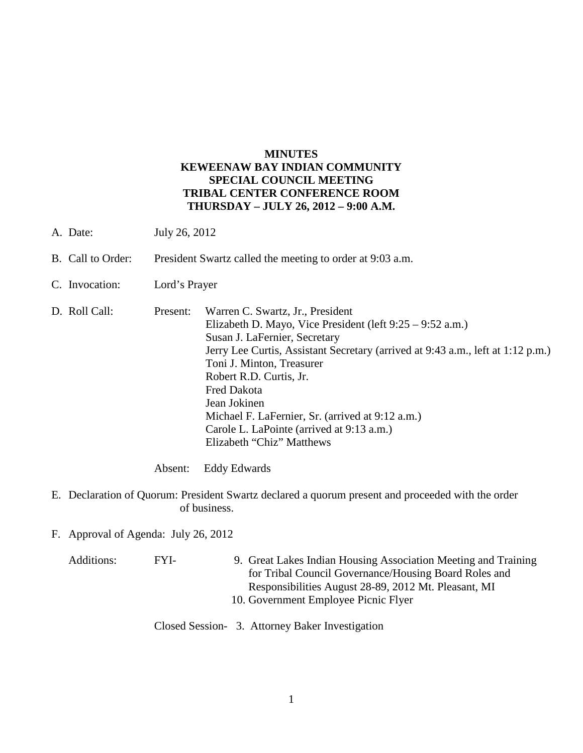## **MINUTES KEWEENAW BAY INDIAN COMMUNITY SPECIAL COUNCIL MEETING TRIBAL CENTER CONFERENCE ROOM THURSDAY – JULY 26, 2012 – 9:00 A.M.**

- A. Date: July 26, 2012
- B. Call to Order: President Swartz called the meeting to order at 9:03 a.m.
- C. Invocation: Lord's Prayer
- D. Roll Call: Present: Warren C. Swartz, Jr., President Elizabeth D. Mayo, Vice President (left 9:25 – 9:52 a.m.) Susan J. LaFernier, Secretary Jerry Lee Curtis, Assistant Secretary (arrived at 9:43 a.m., left at 1:12 p.m.) Toni J. Minton, Treasurer Robert R.D. Curtis, Jr. Fred Dakota Jean Jokinen Michael F. LaFernier, Sr. (arrived at 9:12 a.m.) Carole L. LaPointe (arrived at 9:13 a.m.) Elizabeth "Chiz" Matthews
	- Absent: Eddy Edwards
- E. Declaration of Quorum: President Swartz declared a quorum present and proceeded with the order of business.
- F. Approval of Agenda: July 26, 2012

Additions: FYI- 9. Great Lakes Indian Housing Association Meeting and Training for Tribal Council Governance/Housing Board Roles and Responsibilities August 28-89, 2012 Mt. Pleasant, MI 10. Government Employee Picnic Flyer

Closed Session- 3. Attorney Baker Investigation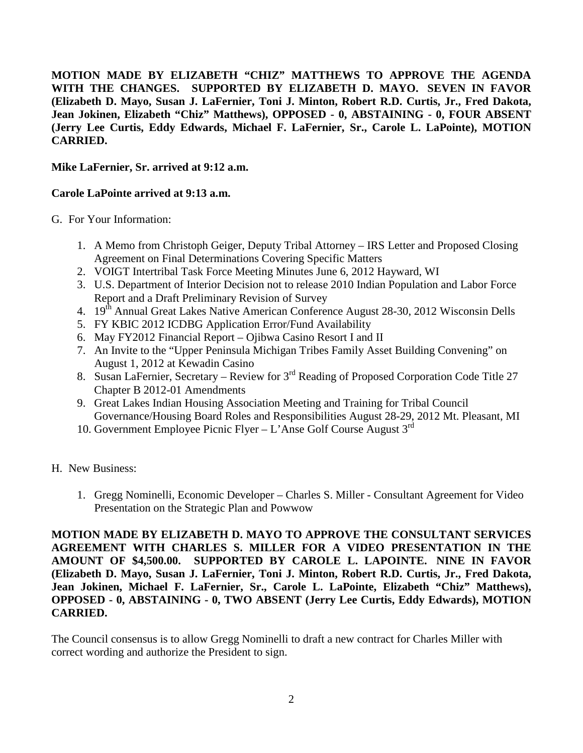**MOTION MADE BY ELIZABETH "CHIZ" MATTHEWS TO APPROVE THE AGENDA WITH THE CHANGES. SUPPORTED BY ELIZABETH D. MAYO. SEVEN IN FAVOR (Elizabeth D. Mayo, Susan J. LaFernier, Toni J. Minton, Robert R.D. Curtis, Jr., Fred Dakota, Jean Jokinen, Elizabeth "Chiz" Matthews), OPPOSED - 0, ABSTAINING - 0, FOUR ABSENT (Jerry Lee Curtis, Eddy Edwards, Michael F. LaFernier, Sr., Carole L. LaPointe), MOTION CARRIED.**

## **Mike LaFernier, Sr. arrived at 9:12 a.m.**

## **Carole LaPointe arrived at 9:13 a.m.**

G. For Your Information:

- 1. A Memo from Christoph Geiger, Deputy Tribal Attorney IRS Letter and Proposed Closing Agreement on Final Determinations Covering Specific Matters
- 2. VOIGT Intertribal Task Force Meeting Minutes June 6, 2012 Hayward, WI
- 3. U.S. Department of Interior Decision not to release 2010 Indian Population and Labor Force Report and a Draft Preliminary Revision of Survey
- 4. 19<sup>th</sup> Annual Great Lakes Native American Conference August 28-30, 2012 Wisconsin Dells
- 5. FY KBIC 2012 ICDBG Application Error/Fund Availability
- 6. May FY2012 Financial Report Ojibwa Casino Resort I and II
- 7. An Invite to the "Upper Peninsula Michigan Tribes Family Asset Building Convening" on August 1, 2012 at Kewadin Casino
- 8. Susan LaFernier, Secretary Review for 3<sup>rd</sup> Reading of Proposed Corporation Code Title 27 Chapter B 2012-01 Amendments
- 9. Great Lakes Indian Housing Association Meeting and Training for Tribal Council Governance/Housing Board Roles and Responsibilities August 28-29, 2012 Mt. Pleasant, MI
- 10. Government Employee Picnic Flyer L'Anse Golf Course August  $3<sup>rd</sup>$
- H. New Business:
	- 1. Gregg Nominelli, Economic Developer Charles S. Miller Consultant Agreement for Video Presentation on the Strategic Plan and Powwow

**MOTION MADE BY ELIZABETH D. MAYO TO APPROVE THE CONSULTANT SERVICES AGREEMENT WITH CHARLES S. MILLER FOR A VIDEO PRESENTATION IN THE AMOUNT OF \$4,500.00. SUPPORTED BY CAROLE L. LAPOINTE. NINE IN FAVOR (Elizabeth D. Mayo, Susan J. LaFernier, Toni J. Minton, Robert R.D. Curtis, Jr., Fred Dakota, Jean Jokinen, Michael F. LaFernier, Sr., Carole L. LaPointe, Elizabeth "Chiz" Matthews), OPPOSED - 0, ABSTAINING - 0, TWO ABSENT (Jerry Lee Curtis, Eddy Edwards), MOTION CARRIED.**

The Council consensus is to allow Gregg Nominelli to draft a new contract for Charles Miller with correct wording and authorize the President to sign.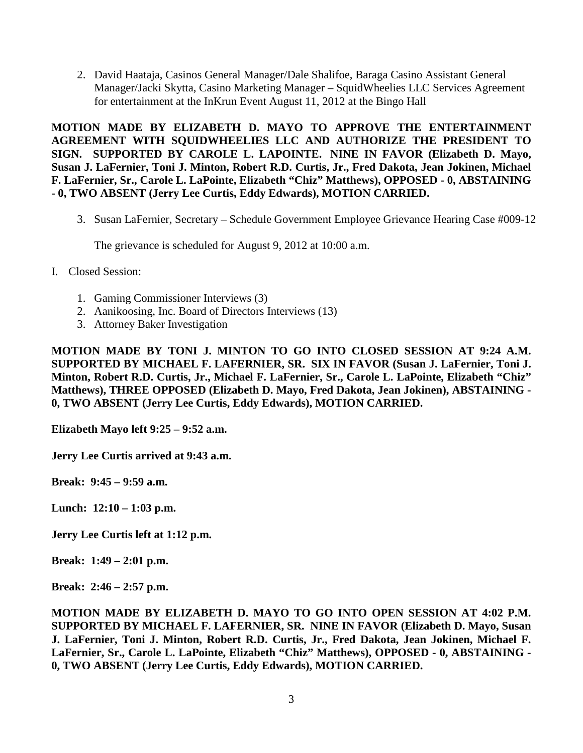2. David Haataja, Casinos General Manager/Dale Shalifoe, Baraga Casino Assistant General Manager/Jacki Skytta, Casino Marketing Manager – SquidWheelies LLC Services Agreement for entertainment at the InKrun Event August 11, 2012 at the Bingo Hall

**MOTION MADE BY ELIZABETH D. MAYO TO APPROVE THE ENTERTAINMENT AGREEMENT WITH SQUIDWHEELIES LLC AND AUTHORIZE THE PRESIDENT TO SIGN. SUPPORTED BY CAROLE L. LAPOINTE. NINE IN FAVOR (Elizabeth D. Mayo, Susan J. LaFernier, Toni J. Minton, Robert R.D. Curtis, Jr., Fred Dakota, Jean Jokinen, Michael F. LaFernier, Sr., Carole L. LaPointe, Elizabeth "Chiz" Matthews), OPPOSED - 0, ABSTAINING - 0, TWO ABSENT (Jerry Lee Curtis, Eddy Edwards), MOTION CARRIED.**

3. Susan LaFernier, Secretary – Schedule Government Employee Grievance Hearing Case #009-12

The grievance is scheduled for August 9, 2012 at 10:00 a.m.

- I. Closed Session:
	- 1. Gaming Commissioner Interviews (3)
	- 2. Aanikoosing, Inc. Board of Directors Interviews (13)
	- 3. Attorney Baker Investigation

**MOTION MADE BY TONI J. MINTON TO GO INTO CLOSED SESSION AT 9:24 A.M. SUPPORTED BY MICHAEL F. LAFERNIER, SR. SIX IN FAVOR (Susan J. LaFernier, Toni J. Minton, Robert R.D. Curtis, Jr., Michael F. LaFernier, Sr., Carole L. LaPointe, Elizabeth "Chiz" Matthews), THREE OPPOSED (Elizabeth D. Mayo, Fred Dakota, Jean Jokinen), ABSTAINING - 0, TWO ABSENT (Jerry Lee Curtis, Eddy Edwards), MOTION CARRIED.**

**Elizabeth Mayo left 9:25 – 9:52 a.m.** 

**Jerry Lee Curtis arrived at 9:43 a.m.** 

**Break: 9:45 – 9:59 a.m.**

**Lunch: 12:10 – 1:03 p.m.** 

**Jerry Lee Curtis left at 1:12 p.m.** 

**Break: 1:49 – 2:01 p.m.** 

**Break: 2:46 – 2:57 p.m.** 

**MOTION MADE BY ELIZABETH D. MAYO TO GO INTO OPEN SESSION AT 4:02 P.M. SUPPORTED BY MICHAEL F. LAFERNIER, SR. NINE IN FAVOR (Elizabeth D. Mayo, Susan J. LaFernier, Toni J. Minton, Robert R.D. Curtis, Jr., Fred Dakota, Jean Jokinen, Michael F. LaFernier, Sr., Carole L. LaPointe, Elizabeth "Chiz" Matthews), OPPOSED - 0, ABSTAINING - 0, TWO ABSENT (Jerry Lee Curtis, Eddy Edwards), MOTION CARRIED.**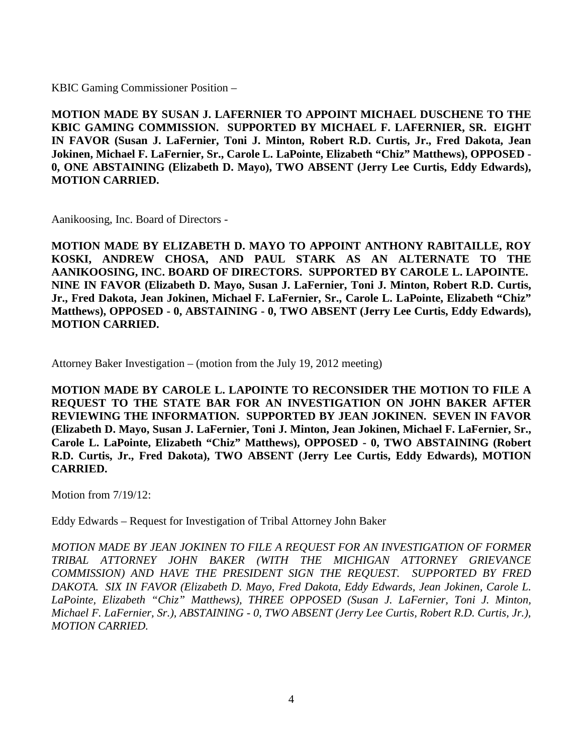KBIC Gaming Commissioner Position –

**MOTION MADE BY SUSAN J. LAFERNIER TO APPOINT MICHAEL DUSCHENE TO THE KBIC GAMING COMMISSION. SUPPORTED BY MICHAEL F. LAFERNIER, SR. EIGHT IN FAVOR (Susan J. LaFernier, Toni J. Minton, Robert R.D. Curtis, Jr., Fred Dakota, Jean Jokinen, Michael F. LaFernier, Sr., Carole L. LaPointe, Elizabeth "Chiz" Matthews), OPPOSED - 0, ONE ABSTAINING (Elizabeth D. Mayo), TWO ABSENT (Jerry Lee Curtis, Eddy Edwards), MOTION CARRIED.**

Aanikoosing, Inc. Board of Directors -

**MOTION MADE BY ELIZABETH D. MAYO TO APPOINT ANTHONY RABITAILLE, ROY KOSKI, ANDREW CHOSA, AND PAUL STARK AS AN ALTERNATE TO THE AANIKOOSING, INC. BOARD OF DIRECTORS. SUPPORTED BY CAROLE L. LAPOINTE. NINE IN FAVOR (Elizabeth D. Mayo, Susan J. LaFernier, Toni J. Minton, Robert R.D. Curtis, Jr., Fred Dakota, Jean Jokinen, Michael F. LaFernier, Sr., Carole L. LaPointe, Elizabeth "Chiz" Matthews), OPPOSED - 0, ABSTAINING - 0, TWO ABSENT (Jerry Lee Curtis, Eddy Edwards), MOTION CARRIED.**

Attorney Baker Investigation – (motion from the July 19, 2012 meeting)

**MOTION MADE BY CAROLE L. LAPOINTE TO RECONSIDER THE MOTION TO FILE A REQUEST TO THE STATE BAR FOR AN INVESTIGATION ON JOHN BAKER AFTER REVIEWING THE INFORMATION. SUPPORTED BY JEAN JOKINEN. SEVEN IN FAVOR (Elizabeth D. Mayo, Susan J. LaFernier, Toni J. Minton, Jean Jokinen, Michael F. LaFernier, Sr., Carole L. LaPointe, Elizabeth "Chiz" Matthews), OPPOSED - 0, TWO ABSTAINING (Robert R.D. Curtis, Jr., Fred Dakota), TWO ABSENT (Jerry Lee Curtis, Eddy Edwards), MOTION CARRIED.**

Motion from  $7/19/12$ :

Eddy Edwards – Request for Investigation of Tribal Attorney John Baker

*MOTION MADE BY JEAN JOKINEN TO FILE A REQUEST FOR AN INVESTIGATION OF FORMER TRIBAL ATTORNEY JOHN BAKER (WITH THE MICHIGAN ATTORNEY GRIEVANCE COMMISSION) AND HAVE THE PRESIDENT SIGN THE REQUEST. SUPPORTED BY FRED DAKOTA. SIX IN FAVOR (Elizabeth D. Mayo, Fred Dakota, Eddy Edwards, Jean Jokinen, Carole L. LaPointe, Elizabeth "Chiz" Matthews), THREE OPPOSED (Susan J. LaFernier, Toni J. Minton, Michael F. LaFernier, Sr.), ABSTAINING - 0, TWO ABSENT (Jerry Lee Curtis, Robert R.D. Curtis, Jr.), MOTION CARRIED.*